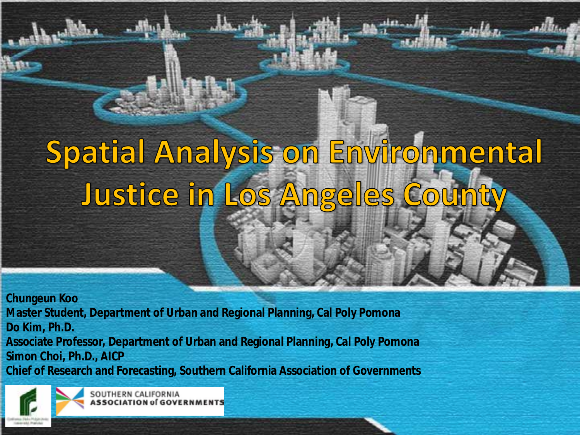# Spatial Analysis on Environmental Justice in Los Angeles Coun

**Chungeun Koo Master Student, Department of Urban and Regional Planning, Cal Poly Pomona Do Kim, Ph.D. Associate Professor, Department of Urban and Regional Planning, Cal Poly Pomona Simon Choi, Ph.D., AICP Chief of Research and Forecasting, Southern California Association of Governments** 



OUTHERN CALIFORNIA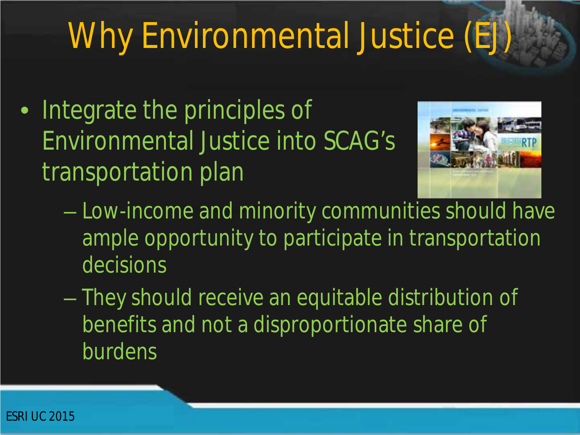# Why Environmental Justice (EJ)

• Integrate the principles of Environmental Justice into SCAG's transportation plan



- Low-income and minority communities should have ample opportunity to participate in transportation decisions
- They should receive an equitable distribution of benefits and not a disproportionate share of burdens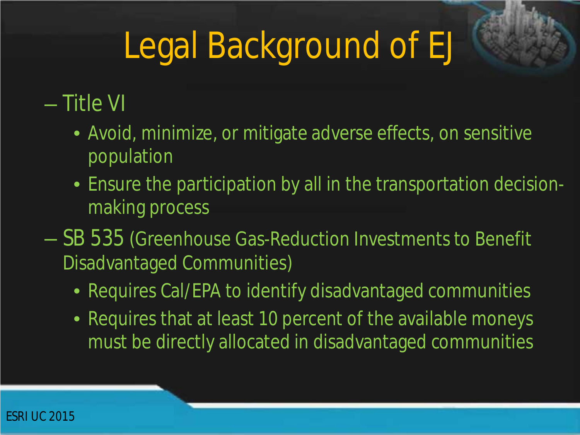# Legal Background of EJ

### – Title VI

- Avoid, minimize, or mitigate adverse effects, on sensitive population
- Ensure the participation by all in the transportation decisionmaking process
- SB 535 (Greenhouse Gas-Reduction Investments to Benefit Disadvantaged Communities)
	- Requires Cal/EPA to identify disadvantaged communities
	- Requires that at least 10 percent of the available moneys must be directly allocated in disadvantaged communities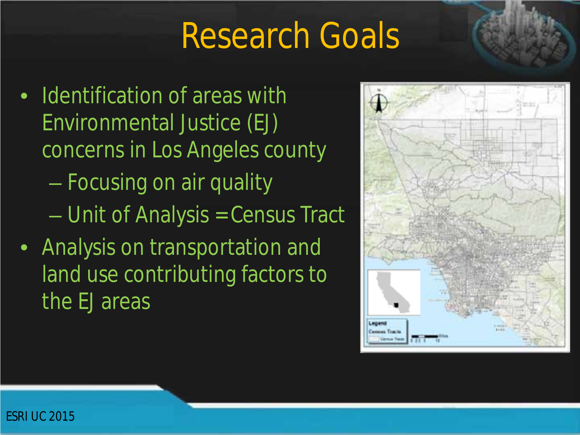### Research Goals

- Identification of areas with Environmental Justice (EJ) concerns in Los Angeles county – Focusing on air quality – Unit of Analysis = Census Tract
- Analysis on transportation and land use contributing factors to the EJ areas

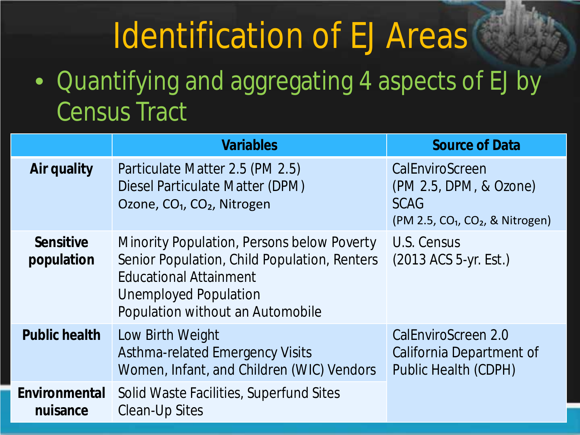### Identification of EJ Areas

### • Quantifying and aggregating 4 aspects of EJ by Census Tract

|                                | <b>Variables</b>                                                                                                                                                                                | <b>Source of Data</b>                                                                        |
|--------------------------------|-------------------------------------------------------------------------------------------------------------------------------------------------------------------------------------------------|----------------------------------------------------------------------------------------------|
| Air quality                    | Particulate Matter 2.5 (PM 2.5)<br>Diesel Particulate Matter (DPM)<br>Ozone, CO <sub>1</sub> , CO <sub>2</sub> , Nitrogen                                                                       | CalEnviroScreen<br>(PM 2.5, DPM, & Ozone)<br><b>SCAG</b><br>$(PM 2.5, CO1, CO2, & Nitrogen)$ |
| <b>Sensitive</b><br>population | Minority Population, Persons below Poverty<br>Senior Population, Child Population, Renters<br><b>Educational Attainment</b><br><b>Unemployed Population</b><br>Population without an Automobile | U.S. Census<br>(2013 ACS 5-yr. Est.)                                                         |
| <b>Public health</b>           | Low Birth Weight<br><b>Asthma-related Emergency Visits</b><br>Women, Infant, and Children (WIC) Vendors                                                                                         | CalEnviroScreen 2.0<br>California Department of<br><b>Public Health (CDPH)</b>               |
| Environmental<br>nuisance      | Solid Waste Facilities, Superfund Sites<br><b>Clean-Up Sites</b>                                                                                                                                |                                                                                              |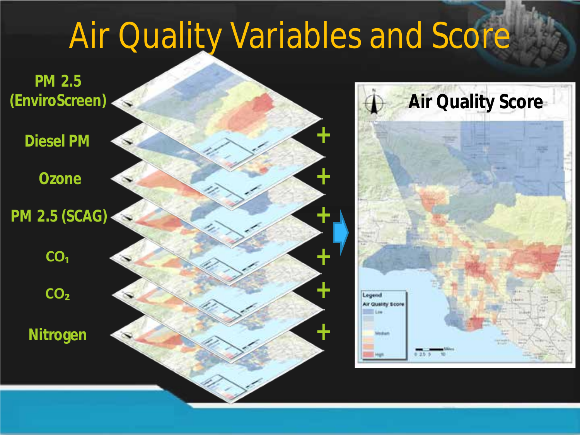### Air Quality Variables and Score

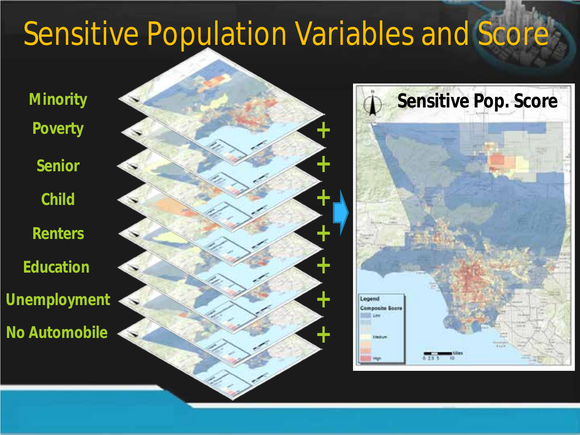### Sensitive Population Variables and Score

**Minority Poverty**

**Senior**

**Child**

**Renters Education Unemployment**

**No Automobile**



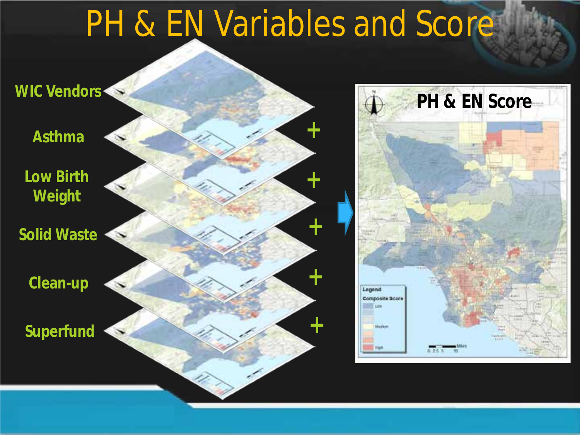### PH & EN Variables and Score

**+**

**+**

**+**

**+**

**+**



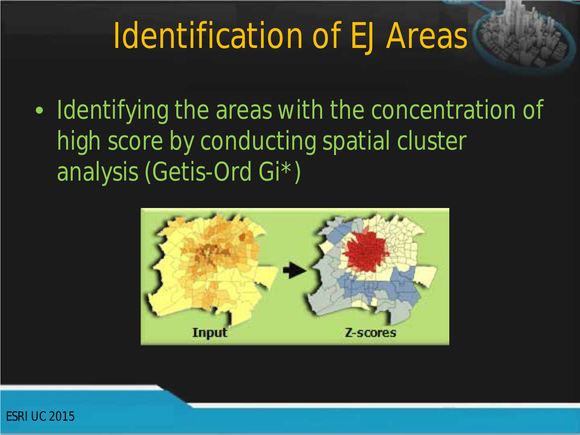### Identification of EJ Areas

• Identifying the areas with the concentration of high score by conducting spatial cluster analysis (Getis-Ord Gi\*)



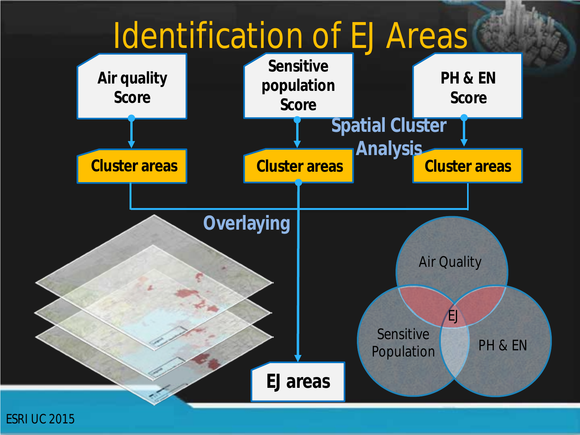### Identification of EJ Areas

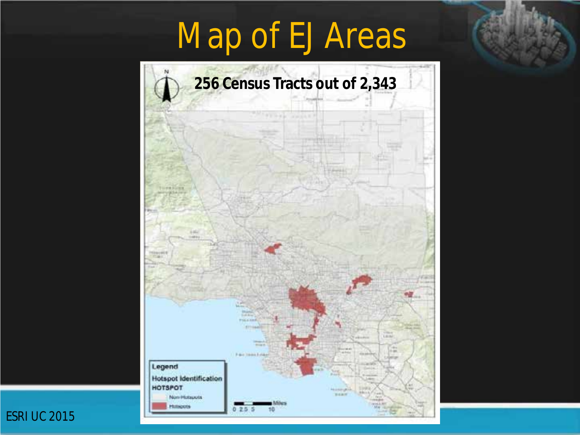## Map of EJ Areas

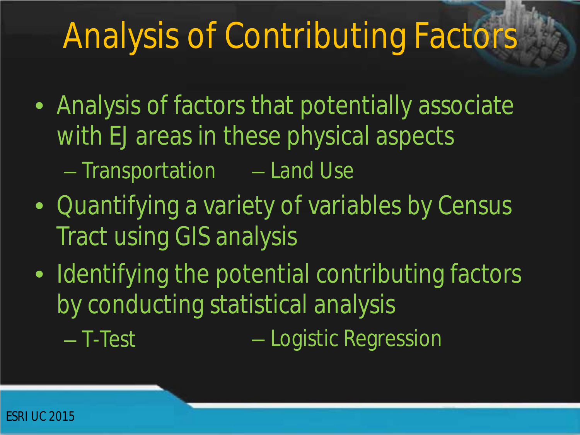## Analysis of Contributing Factors

- Analysis of factors that potentially associate with EJ areas in these physical aspects
	- Transportation Land Use
- Quantifying a variety of variables by Census Tract using GIS analysis
- Identifying the potential contributing factors by conducting statistical analysis
	- T-Test – Logistic Regression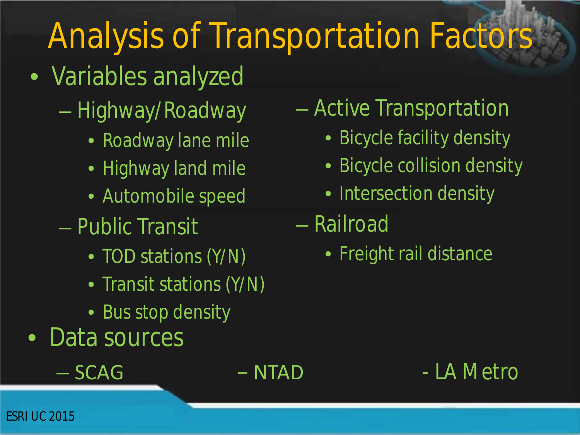## Analysis of Transportation Factors

- Variables analyzed
	- Highway/Roadway
		- Roadway lane mile
		- Highway land mile
		- Automobile speed
	- Public Transit
		- TOD stations (Y/N)
		- Transit stations (Y/N)
		- Bus stop density
- Data sources
	-

### – Active Transportation

- Bicycle facility density
- Bicycle collision density
- Intersection density
- Railroad
	- Freight rail distance

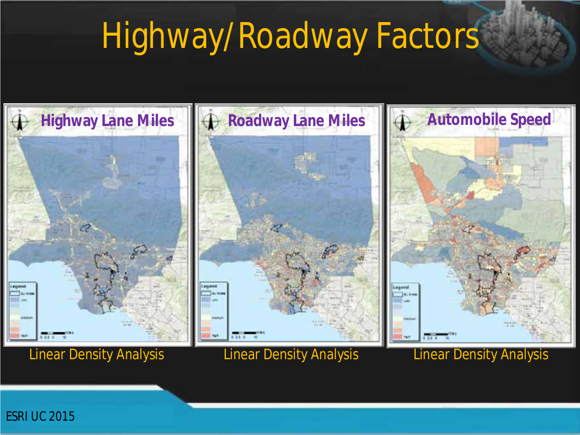### Highway/Roadway Factors



Linear Density Analysis Linear Density Analysis Linear Density Analysis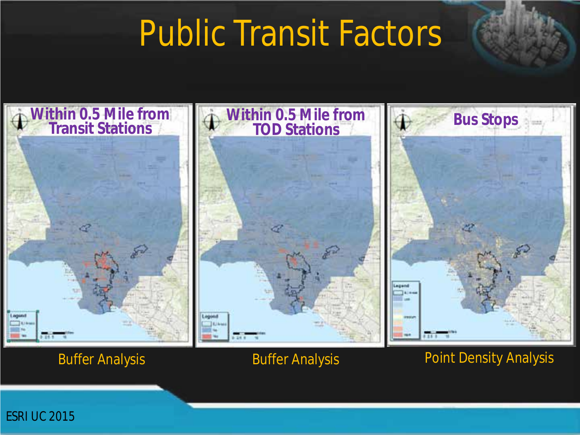### Public Transit Factors



*ESRI UC 2015*

#### Buffer Analysis **Buffer Analysis Buffer Analysis Point Density Analysis**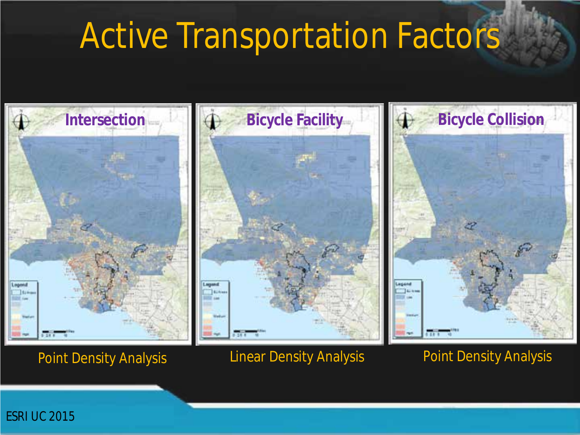### Active Transportation Factors



Point Density Analysis **Linear Density Analysis** Point Density Analysis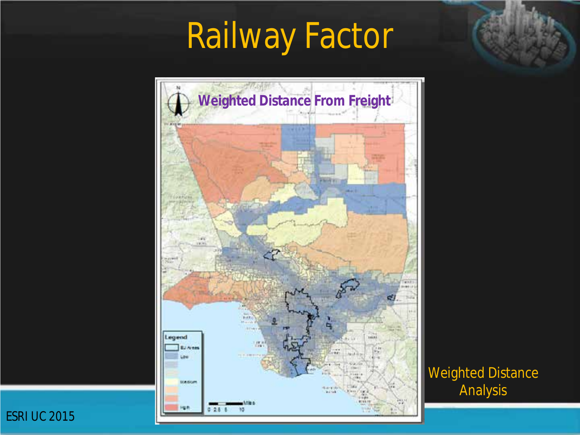## Railway Factor



Weighted Distance Analysis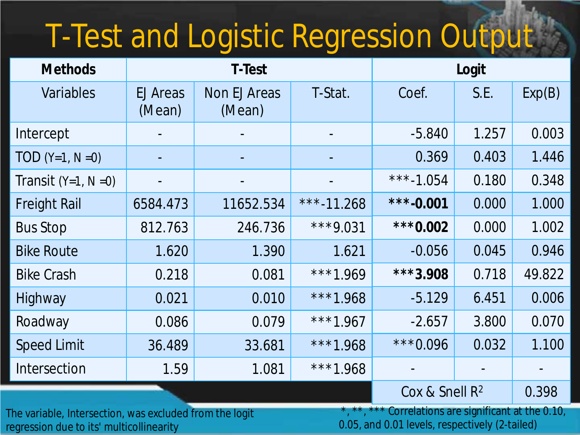# T-Test and Logistic Regression Output

| <b>Methods</b>       | <b>T-Test</b>      |                        |            | Logit                      |       |        |
|----------------------|--------------------|------------------------|------------|----------------------------|-------|--------|
| Variables            | EJ Areas<br>(Mean) | Non EJ Areas<br>(Mean) | T-Stat.    | Coef.                      | S.E.  | Exp(B) |
| Intercept            |                    |                        |            | $-5.840$                   | 1.257 | 0.003  |
| $TOD (Y=1, N=0)$     |                    |                        |            | 0.369                      | 0.403 | 1.446  |
| Transit $(Y=1, N=0)$ |                    |                        |            | ***-1.054                  | 0.180 | 0.348  |
| <b>Freight Rail</b>  | 6584.473           | 11652.534              | ***-11.268 | ***-0.001                  | 0.000 | 1.000  |
| <b>Bus Stop</b>      | 812.763            | 246.736                | ***9.031   | ***0.002                   | 0.000 | 1.002  |
| <b>Bike Route</b>    | 1.620              | 1.390                  | 1.621      | $-0.056$                   | 0.045 | 0.946  |
| <b>Bike Crash</b>    | 0.218              | 0.081                  | ***1.969   | ***3.908                   | 0.718 | 49.822 |
| Highway              | 0.021              | 0.010                  | ***1.968   | $-5.129$                   | 6.451 | 0.006  |
| Roadway              | 0.086              | 0.079                  | ***1.967   | $-2.657$                   | 3.800 | 0.070  |
| <b>Speed Limit</b>   | 36.489             | 33.681                 | ***1.968   | ***0.096                   | 0.032 | 1.100  |
| Intersection         | 1.59               | 1.081                  | ***1.968   |                            |       |        |
|                      |                    |                        |            | Cox & Snell R <sup>2</sup> |       | 0.398  |

The variable, Intersection, was excluded from the logit regression due to its' multicollinearity

\*, \*\*, \*\*\* Correlations are significant at the 0.10, 0.05, and 0.01 levels, respectively (2-tailed)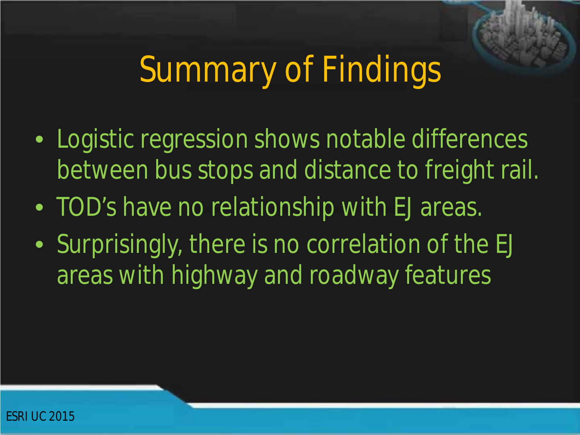## Summary of Findings

- Logistic regression shows notable differences between bus stops and distance to freight rail.
- TOD's have no relationship with EJ areas.
- Surprisingly, there is no correlation of the EJ areas with highway and roadway features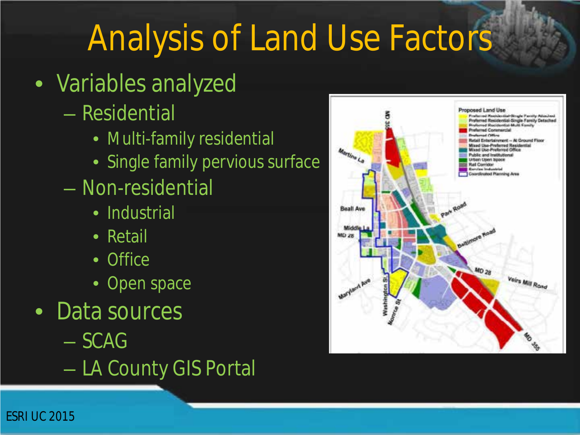### Analysis of Land Use Factors

- Variables analyzed
	- Residential
		- Multi-family residential
		- Single family pervious surface
	- Non-residential
		- Industrial
		- Retail
		- Office
		- Open space
- Data sources
	- SCAG
	- LA County GIS Portal

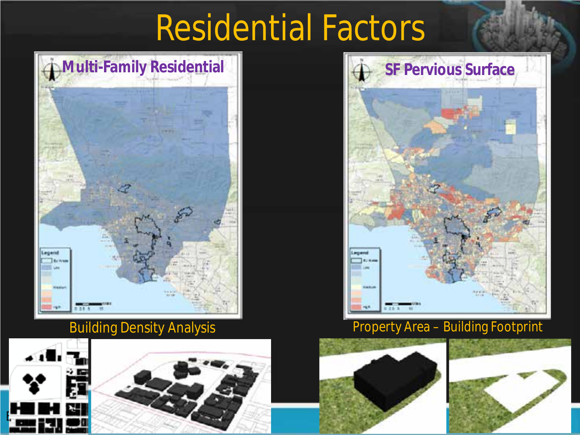### Residential Factors



#### Building Density Analysis





#### Property Area – Building Footprint



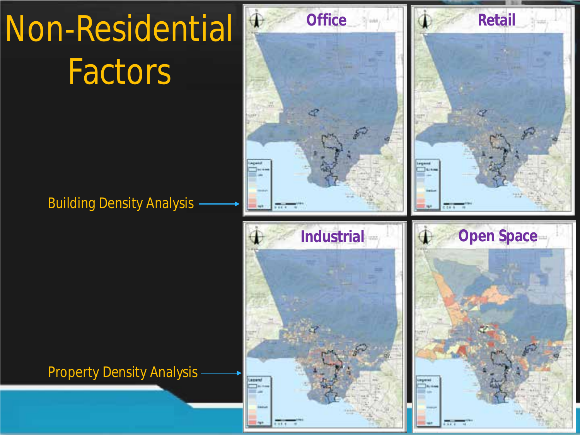# Non-Residential **Factors**

#### Building Density Analysis

Property Density Analysis

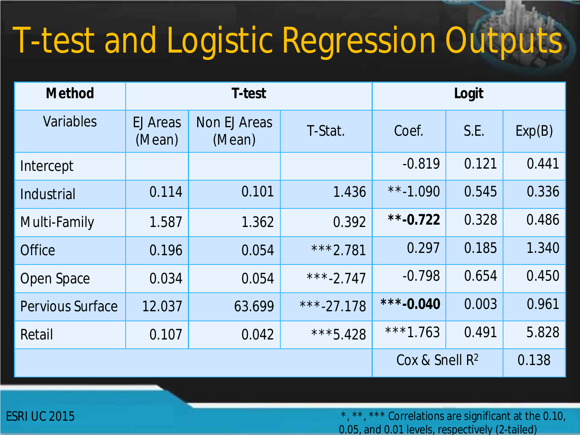# T-test and Logistic Regression Outputs

| <b>Method</b>           | <b>T-test</b>             |                               |                   | Logit       |       |        |
|-------------------------|---------------------------|-------------------------------|-------------------|-------------|-------|--------|
| Variables               | <b>EJ Areas</b><br>(Mean) | <b>Non EJ Areas</b><br>(Mean) | T-Stat.           | Coef.       | S.E.  | Exp(B) |
| Intercept               |                           |                               |                   | $-0.819$    | 0.121 | 0.441  |
| Industrial              | 0.114                     | 0.101                         | 1.436             | **-1.090    | 0.545 | 0.336  |
| Multi-Family            | 1.587                     | 1.362                         | 0.392             | ** $-0.722$ | 0.328 | 0.486  |
| <b>Office</b>           | 0.196                     | 0.054                         | ***2.781          | 0.297       | 0.185 | 1.340  |
| Open Space              | 0.034                     | 0.054                         | ***-2.747         | $-0.798$    | 0.654 | 0.450  |
| <b>Pervious Surface</b> | 12.037                    | 63.699                        | ***-27.178        | ***-0.040   | 0.003 | 0.961  |
| Retail                  | 0.107                     | 0.042                         | ***5.428          | ***1.763    | 0.491 | 5.828  |
|                         |                           |                               | Cox & Snell $R^2$ |             | 0.138 |        |

\*, \*\*, \*\*\* Correlations are significant at the 0.10, 0.05, and 0.01 levels, respectively (2-tailed)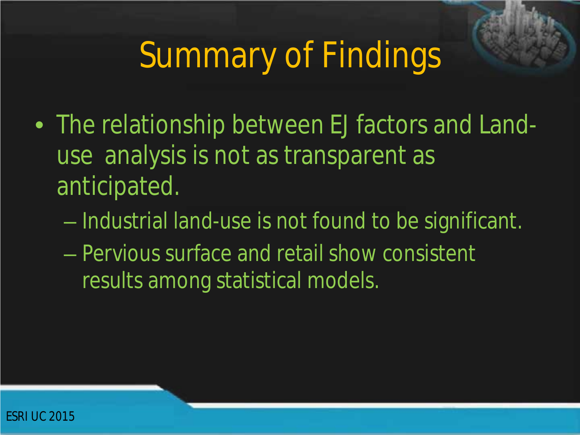## Summary of Findings

- The relationship between EJ factors and Landuse analysis is not as transparent as anticipated.
	- Industrial land-use is not found to be significant.
	- Pervious surface and retail show consistent results among statistical models.